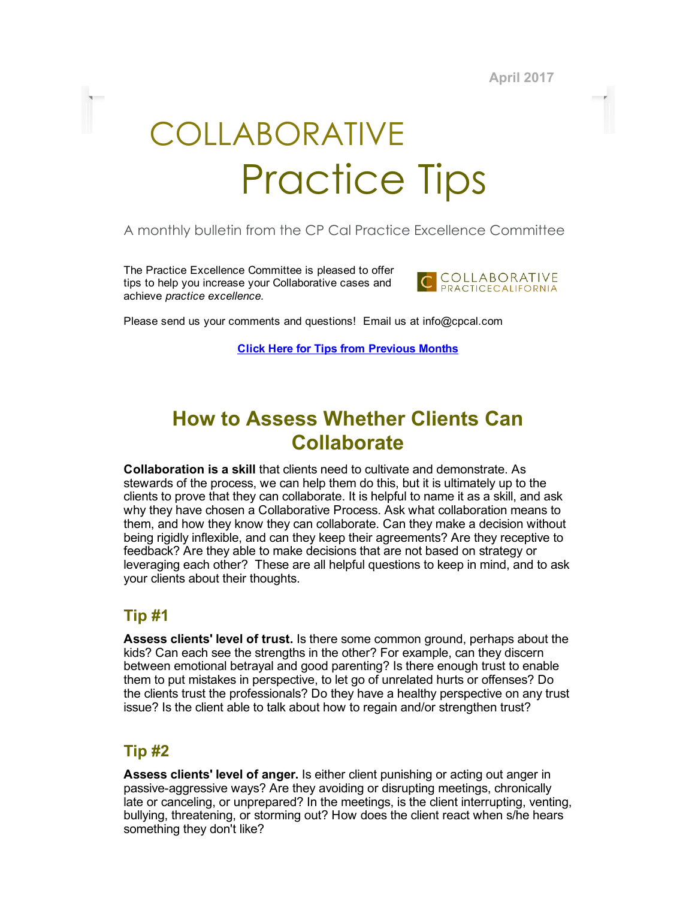April 2017

# COLLABORATIVE Practice Tips

#### A monthly bulletin from the CP Cal Practice Excellence Committee

The Practice Excellence Committee is pleased to offer tips to help you increase your Collaborative cases and achieve practice excellence.



Please send us your comments and questions! Email us at info@cpcal.com

Click Here for Tips from [Previous](https://www.dropbox.com/sh/nns7xqfkrgzi7sx/AACnvsWvEnTcndxaKdXGRv_Pa?dl=0) Months

# How to Assess Whether Clients Can **Collaborate**

Collaboration is a skill that clients need to cultivate and demonstrate. As stewards of the process, we can help them do this, but it is ultimately up to the clients to prove that they can collaborate. It is helpful to name it as a skill, and ask why they have chosen a Collaborative Process. Ask what collaboration means to them, and how they know they can collaborate. Can they make a decision without being rigidly inflexible, and can they keep their agreements? Are they receptive to feedback? Are they able to make decisions that are not based on strategy or leveraging each other? These are all helpful questions to keep in mind, and to ask your clients about their thoughts.

## Tip #1

Assess clients' level of trust. Is there some common ground, perhaps about the kids? Can each see the strengths in the other? For example, can they discern between emotional betrayal and good parenting? Is there enough trust to enable them to put mistakes in perspective, to let go of unrelated hurts or offenses? Do the clients trust the professionals? Do they have a healthy perspective on any trust issue? Is the client able to talk about how to regain and/or strengthen trust?

## Tip #2

Assess clients' level of anger. Is either client punishing or acting out anger in passive-aggressive ways? Are they avoiding or disrupting meetings, chronically late or canceling, or unprepared? In the meetings, is the client interrupting, venting, bullying, threatening, or storming out? How does the client react when s/he hears something they don't like?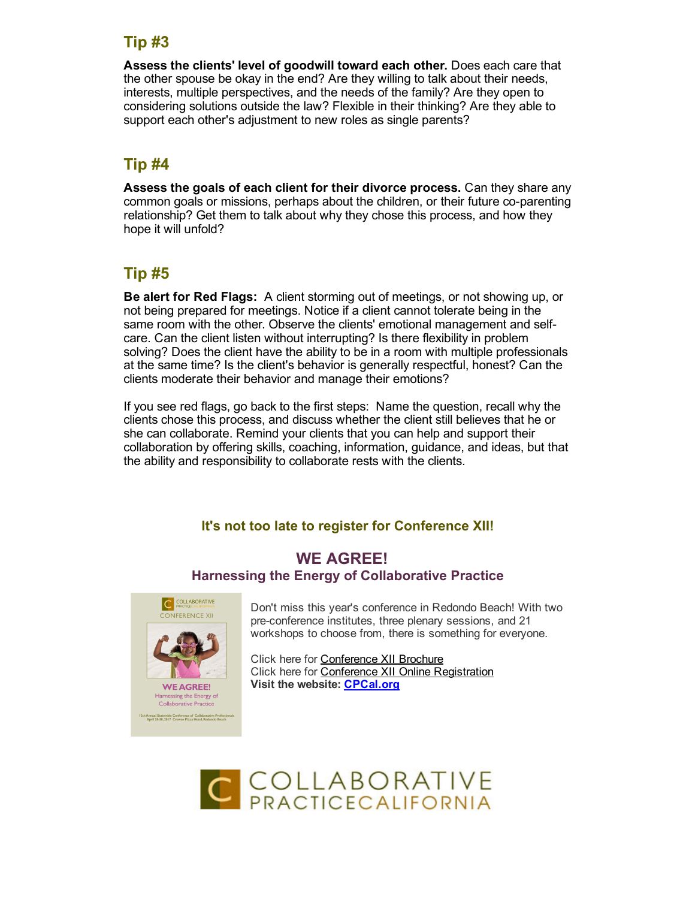# Tip #3

Assess the clients' level of goodwill toward each other. Does each care that the other spouse be okay in the end? Are they willing to talk about their needs, interests, multiple perspectives, and the needs of the family? Are they open to considering solutions outside the law? Flexible in their thinking? Are they able to support each other's adjustment to new roles as single parents?

# Tip #4

Assess the goals of each client for their divorce process. Can they share any common goals or missions, perhaps about the children, or their future co-parenting relationship? Get them to talk about why they chose this process, and how they hope it will unfold?

# Tip #5

Be alert for Red Flags: A client storming out of meetings, or not showing up, or not being prepared for meetings. Notice if a client cannot tolerate being in the same room with the other. Observe the clients' emotional management and selfcare. Can the client listen without interrupting? Is there flexibility in problem solving? Does the client have the ability to be in a room with multiple professionals at the same time? Is the client's behavior is generally respectful, honest? Can the clients moderate their behavior and manage their emotions?

If you see red flags, go back to the first steps: Name the question, recall why the clients chose this process, and discuss whether the client still believes that he or she can collaborate. Remind your clients that you can help and support their collaboration by offering skills, coaching, information, guidance, and ideas, but that the ability and responsibility to collaborate rests with the clients.

## It's not too late to register for Conference XII!

#### WE AGREE! Harnessing the Energy of Collaborative Practice



Don't miss this year's conference in Redondo Beach! With two preconference institutes, three plenary sessions, and 21 workshops to choose from, there is something for everyone.

Click here for [Conference](http://files.constantcontact.com/1a1ee3dc001/22f294d6-f28c-4a85-b5dc-19d22e1c1c77.pdf) XII Brochure Click here for Conference XII Online [Registration](http://www.cpcal.org/cpcalconf.aspx) Visit the website: **[CPCal.org](http://cpcal.org/)**